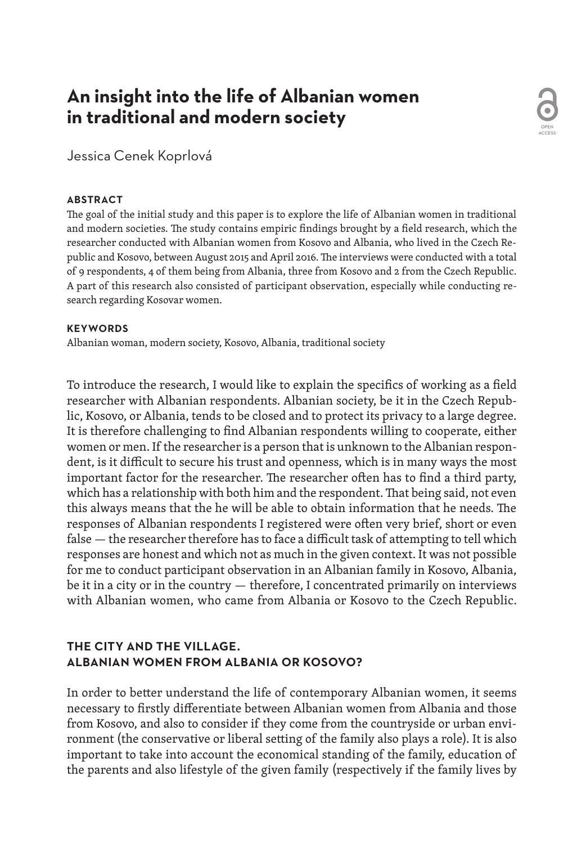# **An insight into the life of Albanian women in traditional and modern society**

Jessica Cenek Koprlová

#### **ABSTRACT**

The goal of the initial study and this paper is to explore the life of Albanian women in traditional and modern societies. The study contains empiric findings brought by a field research, which the researcher conducted with Albanian women from Kosovo and Albania, who lived in the Czech Republic and Kosovo, between August 2015 and April 2016. The interviews were conducted with a total of 9 respondents, 4 of them being from Albania, three from Kosovo and 2 from the Czech Republic. A part of this research also consisted of participant observation, especially while conducting research regarding Kosovar women.

OPEN ACCESS

#### **KEYWORDS**

Albanian woman, modern society, Kosovo, Albania, traditional society

To introduce the research, I would like to explain the specifics of working as a field researcher with Albanian respondents. Albanian society, be it in the Czech Republic, Kosovo, or Albania, tends to be closed and to protect its privacy to a large degree. It is therefore challenging to find Albanian respondents willing to cooperate, either women or men. If the researcher is a person that is unknown to the Albanian respondent, is it difficult to secure his trust and openness, which is in many ways the most important factor for the researcher. The researcher often has to find a third party, which has a relationship with both him and the respondent. That being said, not even this always means that the he will be able to obtain information that he needs. The responses of Albanian respondents I registered were often very brief, short or even false — the researcher therefore has to face a difficult task of attempting to tell which responses are honest and which not as much in the given context. It was not possible for me to conduct participant observation in an Albanian family in Kosovo, Albania, be it in a city or in the country — therefore, I concentrated primarily on interviews with Albanian women, who came from Albania or Kosovo to the Czech Republic.

# **THE CITY AND THE VILLAGE. ALBANIAN WOMEN FROM ALBANIA OR KOSOVO?**

In order to better understand the life of contemporary Albanian women, it seems necessary to firstly differentiate between Albanian women from Albania and those from Kosovo, and also to consider if they come from the countryside or urban environment (the conservative or liberal setting of the family also plays a role). It is also important to take into account the economical standing of the family, education of the parents and also lifestyle of the given family (respectively if the family lives by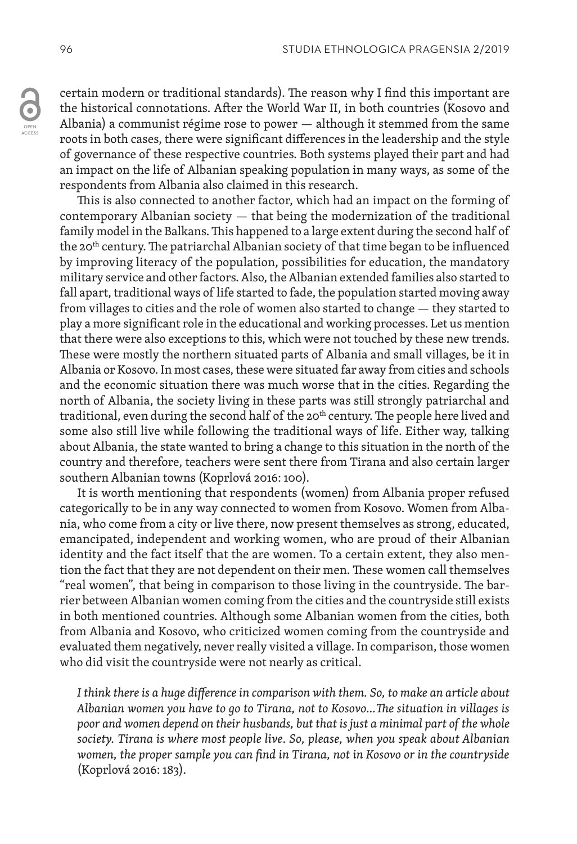certain modern or traditional standards). The reason why I find this important are the historical connotations. After the World War II, in both countries (Kosovo and Albania) a communist régime rose to power — although it stemmed from the same roots in both cases, there were significant differences in the leadership and the style of governance of these respective countries. Both systems played their part and had an impact on the life of Albanian speaking population in many ways, as some of the respondents from Albania also claimed in this research.

This is also connected to another factor, which had an impact on the forming of contemporary Albanian society — that being the modernization of the traditional family model in the Balkans. This happened to a large extent during the second half of the 20<sup>th</sup> century. The patriarchal Albanian society of that time began to be influenced by improving literacy of the population, possibilities for education, the mandatory military service and other factors. Also, the Albanian extended families also started to fall apart, traditional ways of life started to fade, the population started moving away from villages to cities and the role of women also started to change — they started to play a more significant role in the educational and working processes. Let us mention that there were also exceptions to this, which were not touched by these new trends. These were mostly the northern situated parts of Albania and small villages, be it in Albania or Kosovo. In most cases, these were situated far away from cities and schools and the economic situation there was much worse that in the cities. Regarding the north of Albania, the society living in these parts was still strongly patriarchal and traditional, even during the second half of the 20<sup>th</sup> century. The people here lived and some also still live while following the traditional ways of life. Either way, talking about Albania, the state wanted to bring a change to this situation in the north of the country and therefore, teachers were sent there from Tirana and also certain larger southern Albanian towns (Koprlová 2016: 100).

It is worth mentioning that respondents (women) from Albania proper refused categorically to be in any way connected to women from Kosovo. Women from Albania, who come from a city or live there, now present themselves as strong, educated, emancipated, independent and working women, who are proud of their Albanian identity and the fact itself that the are women. To a certain extent, they also mention the fact that they are not dependent on their men. These women call themselves "real women", that being in comparison to those living in the countryside. The barrier between Albanian women coming from the cities and the countryside still exists in both mentioned countries. Although some Albanian women from the cities, both from Albania and Kosovo, who criticized women coming from the countryside and evaluated them negatively, never really visited a village. In comparison, those women who did visit the countryside were not nearly as critical.

*I think there is a huge difference in comparison with them. So, to make an article about Albanian women you have to go to Tirana, not to Kosovo…The situation in villages is poor and women depend on their husbands, but that is just a minimal part of the whole society. Tirana is where most people live. So, please, when you speak about Albanian women, the proper sample you can find in Tirana, not in Kosovo or in the countryside* (Koprlová 2016: 183)*.*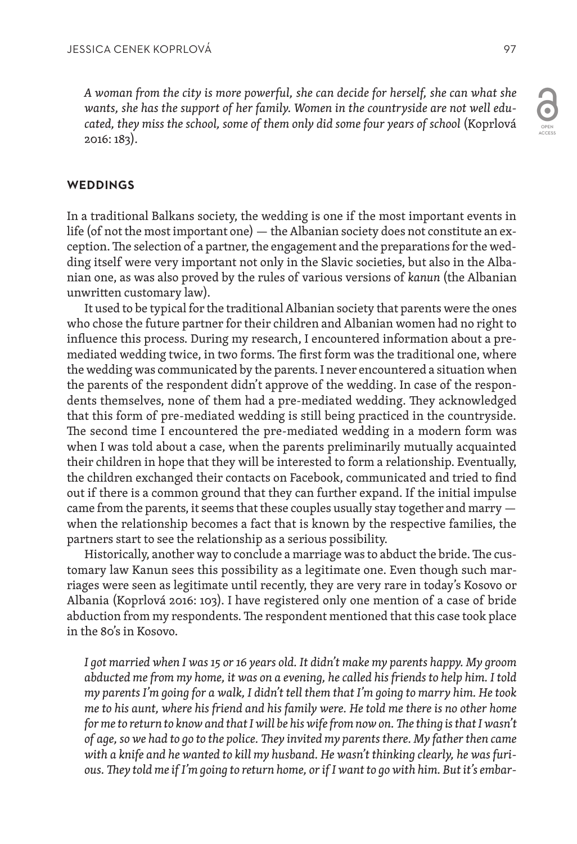*A woman from the city is more powerful, she can decide for herself, she can what she wants, she has the support of her family. Women in the countryside are not well educated, they miss the school, some of them only did some four years of school* (Koprlová 2016: 183)*.*

#### **WEDDINGS**

In a traditional Balkans society, the wedding is one if the most important events in life (of not the most important one) — the Albanian society does not constitute an exception. The selection of a partner, the engagement and the preparations for the wedding itself were very important not only in the Slavic societies, but also in the Albanian one, as was also proved by the rules of various versions of *kanun* (the Albanian unwritten customary law).

It used to be typical for the traditional Albanian society that parents were the ones who chose the future partner for their children and Albanian women had no right to influence this process. During my research, I encountered information about a premediated wedding twice, in two forms. The first form was the traditional one, where the wedding was communicated by the parents. I never encountered a situation when the parents of the respondent didn't approve of the wedding. In case of the respondents themselves, none of them had a pre-mediated wedding. They acknowledged that this form of pre-mediated wedding is still being practiced in the countryside. The second time I encountered the pre-mediated wedding in a modern form was when I was told about a case, when the parents preliminarily mutually acquainted their children in hope that they will be interested to form a relationship. Eventually, the children exchanged their contacts on Facebook, communicated and tried to find out if there is a common ground that they can further expand. If the initial impulse came from the parents, it seems that these couples usually stay together and marry when the relationship becomes a fact that is known by the respective families, the partners start to see the relationship as a serious possibility.

Historically, another way to conclude a marriage was to abduct the bride. The customary law Kanun sees this possibility as a legitimate one. Even though such marriages were seen as legitimate until recently, they are very rare in today's Kosovo or Albania (Koprlová 2016: 103). I have registered only one mention of a case of bride abduction from my respondents. The respondent mentioned that this case took place in the 80's in Kosovo.

*I got married when I was 15 or 16 years old. It didn't make my parents happy. My groom abducted me from my home, it was on a evening, he called his friends to help him. I told my parents I'm going for a walk, I didn't tell them that I'm going to marry him. He took me to his aunt, where his friend and his family were. He told me there is no other home for me to return to know and that I will be his wife from now on. The thing is that I wasn't of age, so we had to go to the police. They invited my parents there. My father then came with a knife and he wanted to kill my husband. He wasn't thinking clearly, he was furious. They told me if I'm going to return home, or if I want to go with him. But it's embar-*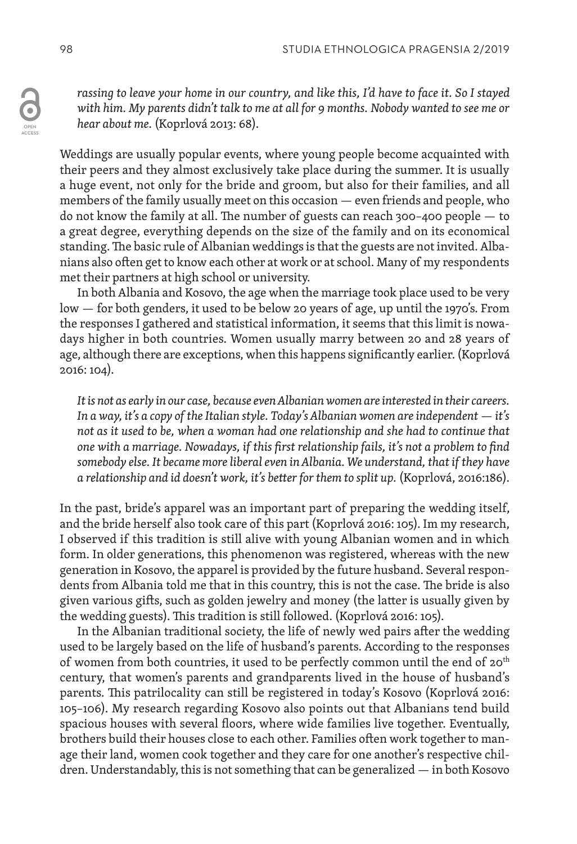*rassing to leave your home in our country, and like this, I'd have to face it. So I stayed with him. My parents didn't talk to me at all for 9 months. Nobody wanted to see me or hear about me.* (Koprlová 2013: 68).

Weddings are usually popular events, where young people become acquainted with their peers and they almost exclusively take place during the summer. It is usually a huge event, not only for the bride and groom, but also for their families, and all members of the family usually meet on this occasion — even friends and people, who do not know the family at all. The number of guests can reach 300–400 people — to a great degree, everything depends on the size of the family and on its economical standing. The basic rule of Albanian weddings is that the guests are not invited. Albanians also often get to know each other at work or at school. Many of my respondents met their partners at high school or university.

In both Albania and Kosovo, the age when the marriage took place used to be very low — for both genders, it used to be below 20 years of age, up until the 1970's. From the responses I gathered and statistical information, it seems that this limit is nowadays higher in both countries. Women usually marry between 20 and 28 years of age, although there are exceptions, when this happens significantly earlier. (Koprlová 2016: 104).

*It is not as early in our case, because even Albanian women are interested in their careers. In a way, it's a copy of the Italian style. Today's Albanian women are independent — it's not as it used to be, when a woman had one relationship and she had to continue that one with a marriage. Nowadays, if this first relationship fails, it's not a problem to find somebody else. It became more liberal even in Albania. We understand, that if they have a relationship and id doesn't work, it's better for them to split up.* (Koprlová, 2016:186).

In the past, bride's apparel was an important part of preparing the wedding itself, and the bride herself also took care of this part (Koprlová 2016: 105). Im my research, I observed if this tradition is still alive with young Albanian women and in which form. In older generations, this phenomenon was registered, whereas with the new generation in Kosovo, the apparel is provided by the future husband. Several respondents from Albania told me that in this country, this is not the case. The bride is also given various gifts, such as golden jewelry and money (the latter is usually given by the wedding guests). This tradition is still followed. (Koprlová 2016: 105).

In the Albanian traditional society, the life of newly wed pairs after the wedding used to be largely based on the life of husband's parents. According to the responses of women from both countries, it used to be perfectly common until the end of  $20<sup>th</sup>$ century, that women's parents and grandparents lived in the house of husband's parents. This patrilocality can still be registered in today's Kosovo (Koprlová 2016: 105–106). My research regarding Kosovo also points out that Albanians tend build spacious houses with several floors, where wide families live together. Eventually, brothers build their houses close to each other. Families often work together to manage their land, women cook together and they care for one another's respective children. Understandably, this is not something that can be generalized — in both Kosovo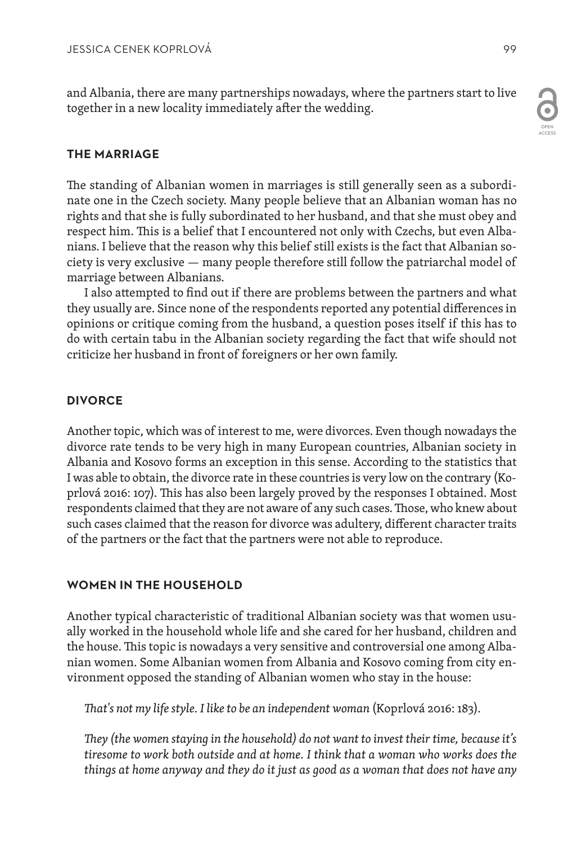and Albania, there are many partnerships nowadays, where the partners start to live together in a new locality immediately after the wedding.

## **THE MARRIAGE**

The standing of Albanian women in marriages is still generally seen as a subordinate one in the Czech society. Many people believe that an Albanian woman has no rights and that she is fully subordinated to her husband, and that she must obey and respect him. This is a belief that I encountered not only with Czechs, but even Albanians. I believe that the reason why this belief still exists is the fact that Albanian society is very exclusive — many people therefore still follow the patriarchal model of marriage between Albanians.

I also attempted to find out if there are problems between the partners and what they usually are. Since none of the respondents reported any potential differences in opinions or critique coming from the husband, a question poses itself if this has to do with certain tabu in the Albanian society regarding the fact that wife should not criticize her husband in front of foreigners or her own family.

## **DIVORCE**

Another topic, which was of interest to me, were divorces. Even though nowadays the divorce rate tends to be very high in many European countries, Albanian society in Albania and Kosovo forms an exception in this sense. According to the statistics that I was able to obtain, the divorce rate in these countries is very low on the contrary (Koprlová 2016: 107). This has also been largely proved by the responses I obtained. Most respondents claimed that they are not aware of any such cases. Those, who knew about such cases claimed that the reason for divorce was adultery, different character traits of the partners or the fact that the partners were not able to reproduce.

## **WOMEN IN THE HOUSEHOLD**

Another typical characteristic of traditional Albanian society was that women usually worked in the household whole life and she cared for her husband, children and the house. This topic is nowadays a very sensitive and controversial one among Albanian women. Some Albanian women from Albania and Kosovo coming from city environment opposed the standing of Albanian women who stay in the house:

*That's not my life style. I like to be an independent woman* (Koprlová 2016: 183).

*They (the women staying in the household) do not want to invest their time, because it's tiresome to work both outside and at home. I think that a woman who works does the things at home anyway and they do it just as good as a woman that does not have any*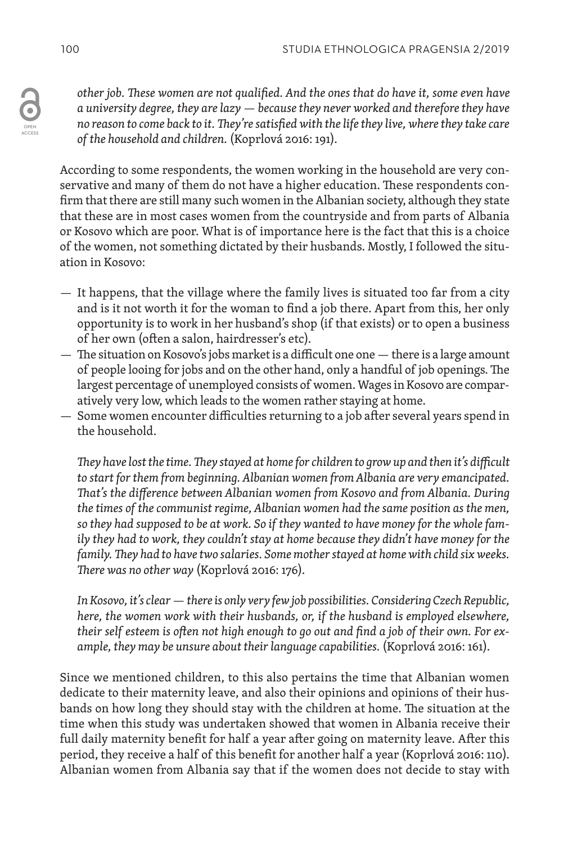*other job. These women are not qualified. And the ones that do have it, some even have a university degree, they are lazy — because they never worked and therefore they have no reason to come back to it. They're satisfied with the life they live, where they take care of the household and children.* (Koprlová 2016: 191).

According to some respondents, the women working in the household are very conservative and many of them do not have a higher education. These respondents confirm that there are still many such women in the Albanian society, although they state that these are in most cases women from the countryside and from parts of Albania or Kosovo which are poor. What is of importance here is the fact that this is a choice of the women, not something dictated by their husbands. Mostly, I followed the situation in Kosovo:

- It happens, that the village where the family lives is situated too far from a city and is it not worth it for the woman to find a job there. Apart from this, her only opportunity is to work in her husband's shop (if that exists) or to open a business of her own (often a salon, hairdresser's etc).
- The situation on Kosovo's jobs market is a difficult one one there is a large amount of people looing for jobs and on the other hand, only a handful of job openings. The largest percentage of unemployed consists of women. Wages in Kosovo are comparatively very low, which leads to the women rather staying at home.
- Some women encounter difficulties returning to a job after several years spend in the household.

*They have lost the time. They stayed at home for children to grow up and then it's difficult to start for them from beginning. Albanian women from Albania are very emancipated. That's the difference between Albanian women from Kosovo and from Albania. During the times of the communist regime, Albanian women had the same position as the men, so they had supposed to be at work. So if they wanted to have money for the whole family they had to work, they couldn't stay at home because they didn't have money for the family. They had to have two salaries. Some mother stayed at home with child six weeks. There was no other way* (Koprlová 2016: 176).

*In Kosovo, it's clear — there is only very few job possibilities. Considering Czech Republic, here, the women work with their husbands, or, if the husband is employed elsewhere, their self esteem is often not high enough to go out and find a job of their own. For example, they may be unsure about their language capabilities.* (Koprlová 2016: 161).

Since we mentioned children, to this also pertains the time that Albanian women dedicate to their maternity leave, and also their opinions and opinions of their husbands on how long they should stay with the children at home. The situation at the time when this study was undertaken showed that women in Albania receive their full daily maternity benefit for half a year after going on maternity leave. After this period, they receive a half of this benefit for another half a year (Koprlová 2016: 110). Albanian women from Albania say that if the women does not decide to stay with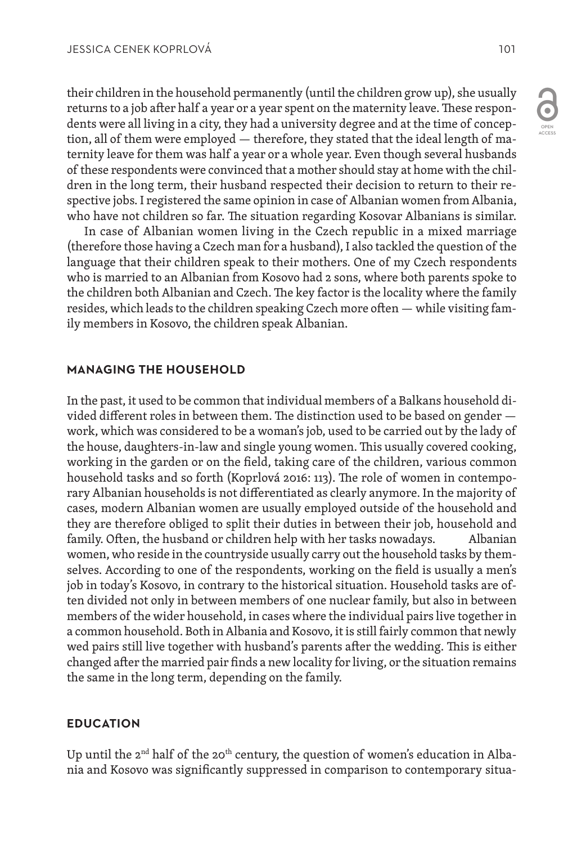their children in the household permanently (until the children grow up), she usually returns to a job after half a year or a year spent on the maternity leave. These respondents were all living in a city, they had a university degree and at the time of conception, all of them were employed — therefore, they stated that the ideal length of maternity leave for them was half a year or a whole year. Even though several husbands of these respondents were convinced that a mother should stay at home with the children in the long term, their husband respected their decision to return to their respective jobs. I registered the same opinion in case of Albanian women from Albania, who have not children so far. The situation regarding Kosovar Albanians is similar.

In case of Albanian women living in the Czech republic in a mixed marriage (therefore those having a Czech man for a husband), I also tackled the question of the language that their children speak to their mothers. One of my Czech respondents who is married to an Albanian from Kosovo had 2 sons, where both parents spoke to the children both Albanian and Czech. The key factor is the locality where the family resides, which leads to the children speaking Czech more often — while visiting family members in Kosovo, the children speak Albanian.

## **MANAGING THE HOUSEHOLD**

In the past, it used to be common that individual members of a Balkans household divided different roles in between them. The distinction used to be based on gender work, which was considered to be a woman's job, used to be carried out by the lady of the house, daughters-in-law and single young women. This usually covered cooking, working in the garden or on the field, taking care of the children, various common household tasks and so forth (Koprlová 2016: 113). The role of women in contemporary Albanian households is not differentiated as clearly anymore. In the majority of cases, modern Albanian women are usually employed outside of the household and they are therefore obliged to split their duties in between their job, household and family. Often, the husband or children help with her tasks nowadays. Albanian women, who reside in the countryside usually carry out the household tasks by themselves. According to one of the respondents, working on the field is usually a men's job in today's Kosovo, in contrary to the historical situation. Household tasks are often divided not only in between members of one nuclear family, but also in between members of the wider household, in cases where the individual pairs live together in a common household. Both in Albania and Kosovo, it is still fairly common that newly wed pairs still live together with husband's parents after the wedding. This is either changed after the married pair finds a new locality for living, or the situation remains the same in the long term, depending on the family.

## **EDUCATION**

Up until the  $2<sup>nd</sup>$  half of the  $20<sup>th</sup>$  century, the question of women's education in Albania and Kosovo was significantly suppressed in comparison to contemporary situa-

OPEN ACCESS

 $\bullet$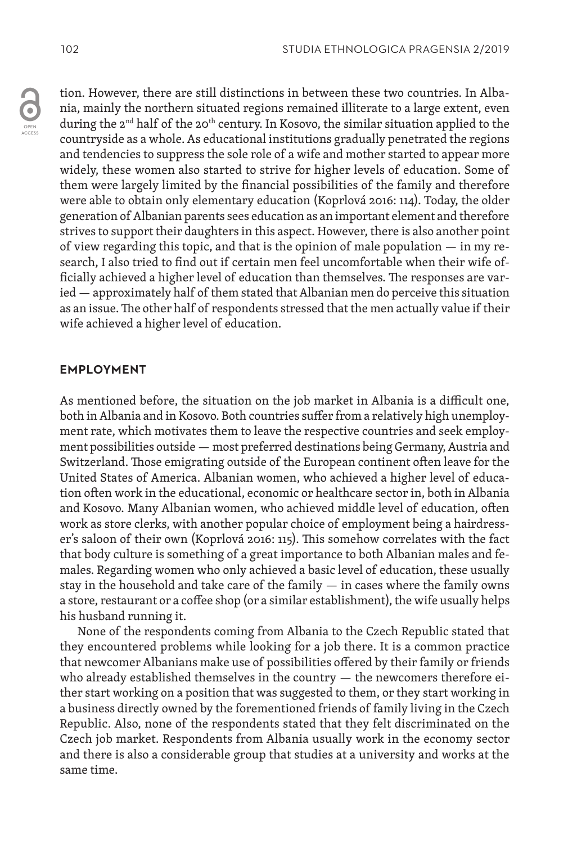tion. However, there are still distinctions in between these two countries. In Albania, mainly the northern situated regions remained illiterate to a large extent, even during the  $2<sup>nd</sup>$  half of the  $20<sup>th</sup>$  century. In Kosovo, the similar situation applied to the countryside as a whole. As educational institutions gradually penetrated the regions and tendencies to suppress the sole role of a wife and mother started to appear more widely, these women also started to strive for higher levels of education. Some of them were largely limited by the financial possibilities of the family and therefore were able to obtain only elementary education (Koprlová 2016: 114). Today, the older generation of Albanian parents sees education as an important element and therefore strives to support their daughters in this aspect. However, there is also another point of view regarding this topic, and that is the opinion of male population — in my research, I also tried to find out if certain men feel uncomfortable when their wife officially achieved a higher level of education than themselves. The responses are varied — approximately half of them stated that Albanian men do perceive this situation as an issue. The other half of respondents stressed that the men actually value if their wife achieved a higher level of education.

## **EMPLOYMENT**

As mentioned before, the situation on the job market in Albania is a difficult one, both in Albania and in Kosovo. Both countries suffer from a relatively high unemployment rate, which motivates them to leave the respective countries and seek employment possibilities outside — most preferred destinations being Germany, Austria and Switzerland. Those emigrating outside of the European continent often leave for the United States of America. Albanian women, who achieved a higher level of education often work in the educational, economic or healthcare sector in, both in Albania and Kosovo. Many Albanian women, who achieved middle level of education, often work as store clerks, with another popular choice of employment being a hairdresser's saloon of their own (Koprlová 2016: 115). This somehow correlates with the fact that body culture is something of a great importance to both Albanian males and females. Regarding women who only achieved a basic level of education, these usually stay in the household and take care of the family — in cases where the family owns a store, restaurant or a coffee shop (or a similar establishment), the wife usually helps his husband running it.

None of the respondents coming from Albania to the Czech Republic stated that they encountered problems while looking for a job there. It is a common practice that newcomer Albanians make use of possibilities offered by their family or friends who already established themselves in the country — the newcomers therefore either start working on a position that was suggested to them, or they start working in a business directly owned by the forementioned friends of family living in the Czech Republic. Also, none of the respondents stated that they felt discriminated on the Czech job market. Respondents from Albania usually work in the economy sector and there is also a considerable group that studies at a university and works at the same time.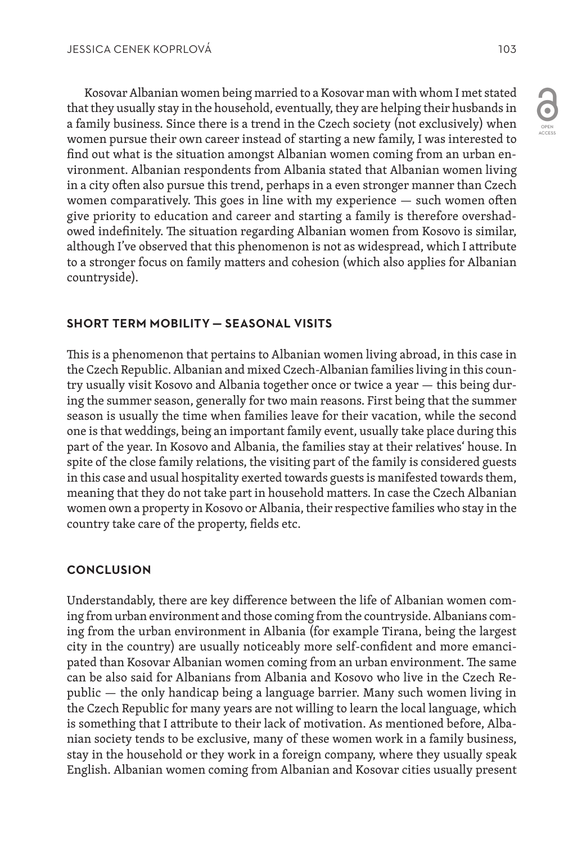Kosovar Albanian women being married to a Kosovar man with whom I met stated that they usually stay in the household, eventually, they are helping their husbands in a family business. Since there is a trend in the Czech society (not exclusively) when women pursue their own career instead of starting a new family, I was interested to find out what is the situation amongst Albanian women coming from an urban environment. Albanian respondents from Albania stated that Albanian women living in a city often also pursue this trend, perhaps in a even stronger manner than Czech women comparatively. This goes in line with my experience — such women often give priority to education and career and starting a family is therefore overshadowed indefinitely. The situation regarding Albanian women from Kosovo is similar, although I've observed that this phenomenon is not as widespread, which I attribute to a stronger focus on family matters and cohesion (which also applies for Albanian countryside).

# **SHORT TERM MOBILITY — SEASONAL VISITS**

This is a phenomenon that pertains to Albanian women living abroad, in this case in the Czech Republic. Albanian and mixed Czech-Albanian families living in this country usually visit Kosovo and Albania together once or twice a year — this being during the summer season, generally for two main reasons. First being that the summer season is usually the time when families leave for their vacation, while the second one is that weddings, being an important family event, usually take place during this part of the year. In Kosovo and Albania, the families stay at their relatives' house. In spite of the close family relations, the visiting part of the family is considered guests in this case and usual hospitality exerted towards guests is manifested towards them, meaning that they do not take part in household matters. In case the Czech Albanian women own a property in Kosovo or Albania, their respective families who stay in the country take care of the property, fields etc.

# **CONCLUSION**

Understandably, there are key difference between the life of Albanian women coming from urban environment and those coming from the countryside. Albanians coming from the urban environment in Albania (for example Tirana, being the largest city in the country) are usually noticeably more self-confident and more emancipated than Kosovar Albanian women coming from an urban environment. The same can be also said for Albanians from Albania and Kosovo who live in the Czech Republic — the only handicap being a language barrier. Many such women living in the Czech Republic for many years are not willing to learn the local language, which is something that I attribute to their lack of motivation. As mentioned before, Albanian society tends to be exclusive, many of these women work in a family business, stay in the household or they work in a foreign company, where they usually speak English. Albanian women coming from Albanian and Kosovar cities usually present